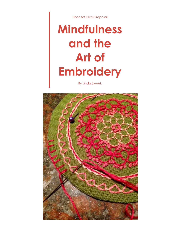Fiber Art Class Proposal

# **Mindfulness and the Art of Embroidery**

By Linda Sweek

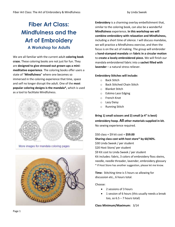## **Fiber Art Class: Mindfulness and the Art of Embroidery A Workshop for Adults**

We are all familiar with the current adult **coloring book craze.** These coloring books are not just for fun. They are **designed to give stressed-out grown-ups a minimeditative experience**. The coloring books offer users a state of "**Mindfulness**" where one becomes so immersed in the coloring experience that time, space and self no longer disrupt the adult. One of the **most popular coloring designs is the mandala\*,** which is used as a tool to facilitate Mindfulness.



More images for mandala coloring pages



**Embroidery** is a charming overlay embellishment that, similar to the coloring book, can also be a wonderful **Mindfulness** experience**. In this workshop we will combine embroidery with relaxation and Mindfulness,** including a short time of silence. I will discuss mandalas, we will practice a Mindfulness exercise, and then the focus is on the act of making. The group will embroider a **hand-stamped mandala** on **fabric in a circular motion** to **create a lovely embroidered piece.** We will finish our mandala embroidered fabric into a **sachet filled with lavender** – a natural stress reliever.

#### **Embroidery Stitches will include:**

- o Back Stitch
- o Back Stitched Chain Stitch
- o Blanket Stitch
- o Eskimo Lace Edging
- o French Knot
- o Lazy Daisy
- o Running Stitch

**Bring 1) small scissors and 2) small (a 4" is best) embroidery hoop. All other materials supplied in kit.** No sewing experience required.

\$50 class + \$9 kit cost = **\$59.00 Sharing class cost with host store\* by 60/40%.**  \$30 Linda Sweek / per student \$20 Host Store/ per student \$9 Kit cost to Linda Sweek / per student Kit includes: fabric, 3 colors of embroidery floss skeins, needle, needle threader, lavender, embroidery glossary \* If Host Store has another suggestion, please let me know.

**Time:** Stitching time is 5 hours so allowing for discussion etc., 6 hours total.

#### Choose:

- 2 sessions of 3 hours
- 1 session of 6 hours (this usually needs a break too, so  $6.5 - 7$  hours total)

**Class Minimum/Maximum:** 3/14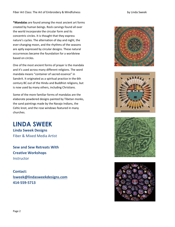**\*Mandalas** are found among the most ancient art forms created by human beings. Rock carvings found all over the world incorporate the circular form and its concentric circles. It is thought that they express nature's cycles. The alternation of day and night, the ever-changing moon, and the rhythms of the seasons are aptly expressed by circular designs. These natural occurrences became the foundation for a worldview based on circles.

One of the most ancient forms of prayer is the mandala and it's used across many different religions. The word mandala means "container of sacred essence" in Sanskrit. It originated as a spiritual practice in the 6th century BC out of the Hindu and Buddhist religions, but is now used by many others, including Christians.

Some of the more familiar forms of mandalas are the elaborate powdered designs painted by Tibetan monks, the sand paintings made by the Navajo Indians, the Celtic knot, and the rose windows featured in many churches.

**LINDA SWEEK Linda Sweek Designs**  Fiber & Mixed Media Artist

**Sew and Sew Retreats With Creative Workshops Instructor** 

**Contact: [lsweek@lindasweekdesigns.com](mailto:lsweek@lindasweekdesigns.com) 414-559-5713**